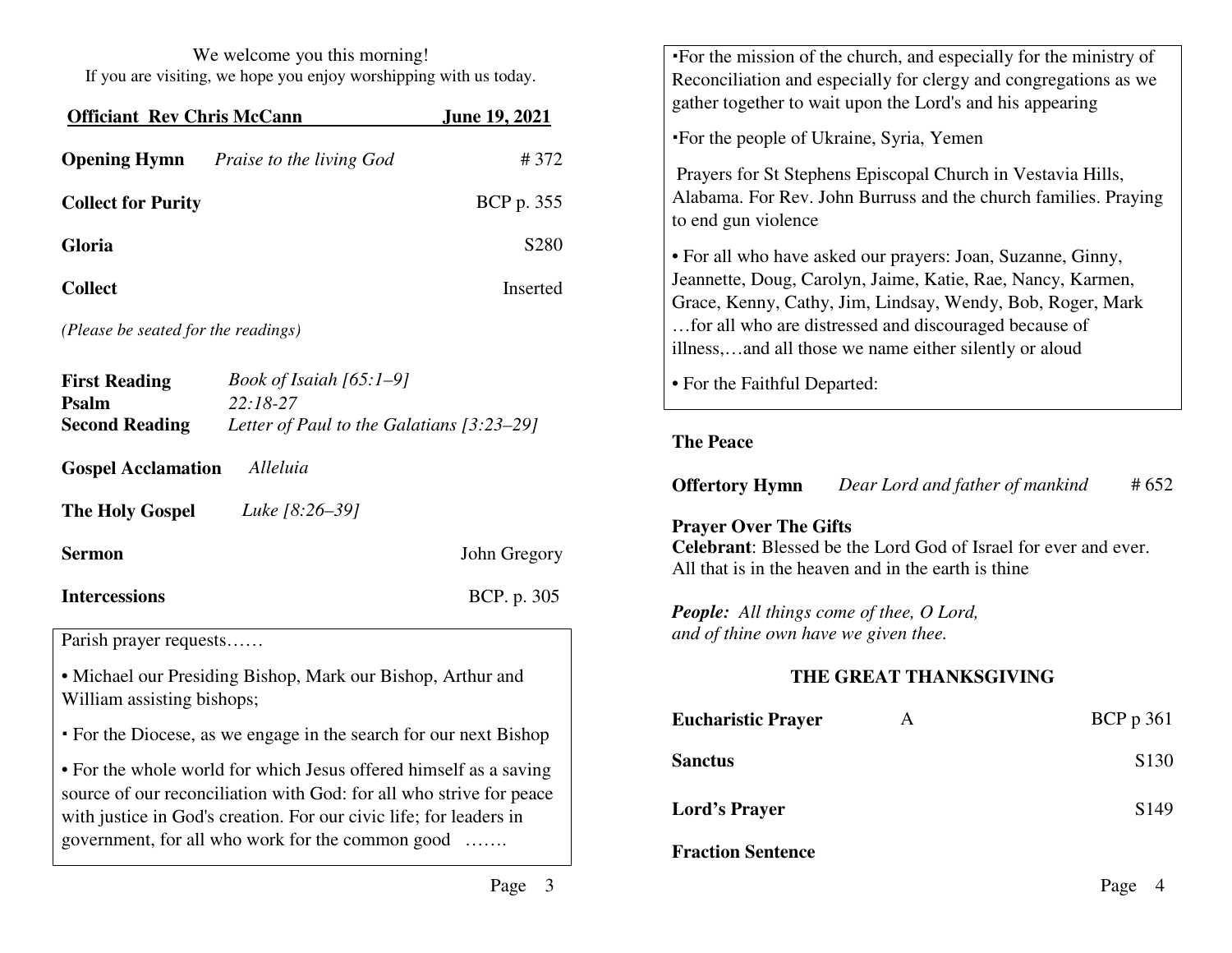We welcome you this morning! If you are visiting, we hope you enjoy worshipping with us today.

| <b>Officiant Rev Chris McCann</b>                      |                                                                                                                                                                                                                | <u>June 19, 2021</u> |
|--------------------------------------------------------|----------------------------------------------------------------------------------------------------------------------------------------------------------------------------------------------------------------|----------------------|
|                                                        | <b>Opening Hymn</b> Praise to the living God                                                                                                                                                                   | #372                 |
| <b>Collect for Purity</b>                              |                                                                                                                                                                                                                | BCP p. 355           |
| Gloria                                                 |                                                                                                                                                                                                                | S <sub>280</sub>     |
| <b>Collect</b>                                         |                                                                                                                                                                                                                | Inserted             |
| (Please be seated for the readings)                    |                                                                                                                                                                                                                |                      |
| <b>First Reading</b><br>Psalm<br><b>Second Reading</b> | Book of Isaiah [65:1–9]<br>$22:18-27$<br>Letter of Paul to the Galatians $[3:23-29]$                                                                                                                           |                      |
| <b>Gospel Acclamation</b>                              | Alleluia                                                                                                                                                                                                       |                      |
| <b>The Holy Gospel</b>                                 | Luke [8:26-39]                                                                                                                                                                                                 |                      |
| <b>Sermon</b>                                          |                                                                                                                                                                                                                | John Gregory         |
| <b>Intercessions</b>                                   |                                                                                                                                                                                                                | BCP. p. 305          |
| Parish prayer requests                                 |                                                                                                                                                                                                                |                      |
| William assisting bishops;                             | • Michael our Presiding Bishop, Mark our Bishop, Arthur and                                                                                                                                                    |                      |
|                                                        | • For the Diocese, as we engage in the search for our next Bishop                                                                                                                                              |                      |
|                                                        | • For the whole world for which Jesus offered himself as a saving<br>source of our reconciliation with God: for all who strive for peace<br>with justice in God's creation. For our civic life; for leaders in |                      |

government, for all who work for the common good …….

For the mission of the church, and especially for the ministry of Reconciliation and especially for clergy and congregations as we gather together to wait upon the Lord's and his appearing For the people of Ukraine, Syria, Yemen Prayers for St Stephens Episcopal Church in Vestavia Hills, Alabama. For Rev. John Burruss and the church families. Praying to end gun violence • For all who have asked our prayers: Joan, Suzanne, Ginny, Jeannette, Doug, Carolyn, Jaime, Katie, Rae, Nancy, Karmen, Grace, Kenny, Cathy, Jim, Lindsay, Wendy, Bob, Roger, Mark …for all who are distressed and discouraged because of illness,…and all those we name either silently or aloud • For the Faithful Departed: **The PeaceOffertory Hymn** *Dear Lord and father of mankind* # 652**Prayer Over The Gifts Celebrant**: Blessed be the Lord God of Israel for ever and ever. All that is in the heaven and in the earth is thine*People: All things come of thee, O Lord, and of thine own have we given thee.* **THE GREAT THANKSGIVING Eucharistic Prayer** A BCP p 361 **Sanctus** $\mathbf{s}$   $\mathbf{s}$ 

**Lord's Prayer S149** 

## **Fraction Sentence**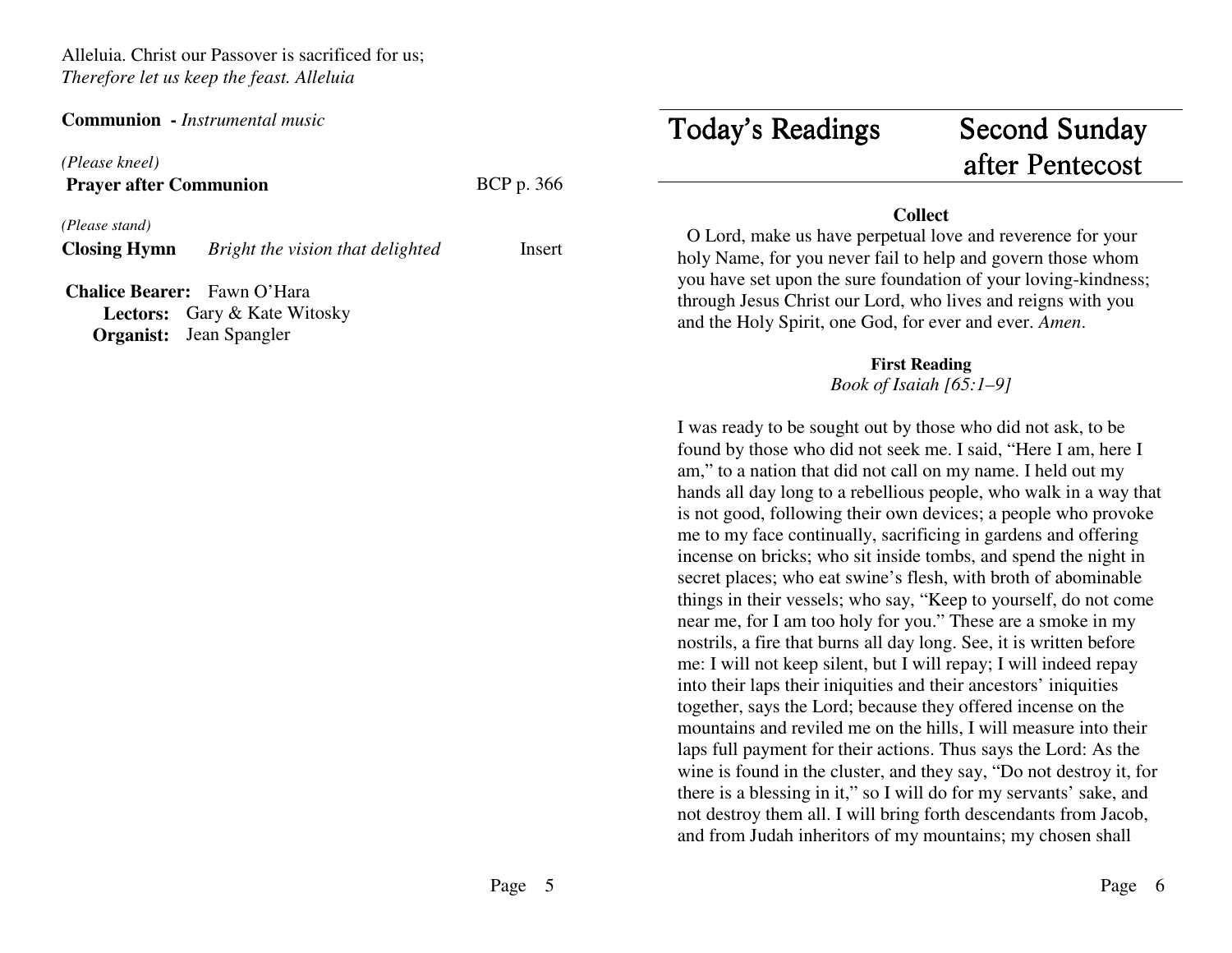Alleluia. Christ our Passover is sacrificed for us;*Therefore let us keep the feast. Alleluia*

**Communion -** *Instrumental music*

*(Please kneel)* 

|  | <b>Prayer after Communion</b> |  |
|--|-------------------------------|--|
|  |                               |  |

**BCP** p. 366

*(Please stand)* 

**Closing Hymn** *Bright the vision that delighted* Insert

**Chalice Bearer:** Fawn O'Hara **Lectors:** Gary & Kate Witosky **Organist:** Jean Spangler

## Today's Readingss Second Sunday after Pentecost

## **Collect**

 O Lord, make us have perpetual love and reverence for your holy Name, for you never fail to help and govern those whom you have set upon the sure foundation of your loving-kindness; through Jesus Christ our Lord, who lives and reigns with you and the Holy Spirit, one God, for ever and ever. *Amen*.

#### **First Reading**

*Book of Isaiah [65:1–9]* 

I was ready to be sought out by those who did not ask, to be found by those who did not seek me. I said, "Here I am, here I am," to a nation that did not call on my name. I held out my hands all day long to a rebellious people, who walk in a way that is not good, following their own devices; a people who provoke me to my face continually, sacrificing in gardens and offering incense on bricks; who sit inside tombs, and spend the night in secret places; who eat swine's flesh, with broth of abominable things in their vessels; who say, "Keep to yourself, do not come near me, for I am too holy for you." These are a smoke in my nostrils, a fire that burns all day long. See, it is written before me: I will not keep silent, but I will repay; I will indeed repay into their laps their iniquities and their ancestors' iniquities together, says the Lord; because they offered incense on the mountains and reviled me on the hills, I will measure into their laps full payment for their actions. Thus says the Lord: As the wine is found in the cluster, and they say, "Do not destroy it, for there is a blessing in it," so I will do for my servants' sake, and not destroy them all. I will bring forth descendants from Jacob, and from Judah inheritors of my mountains; my chosen shall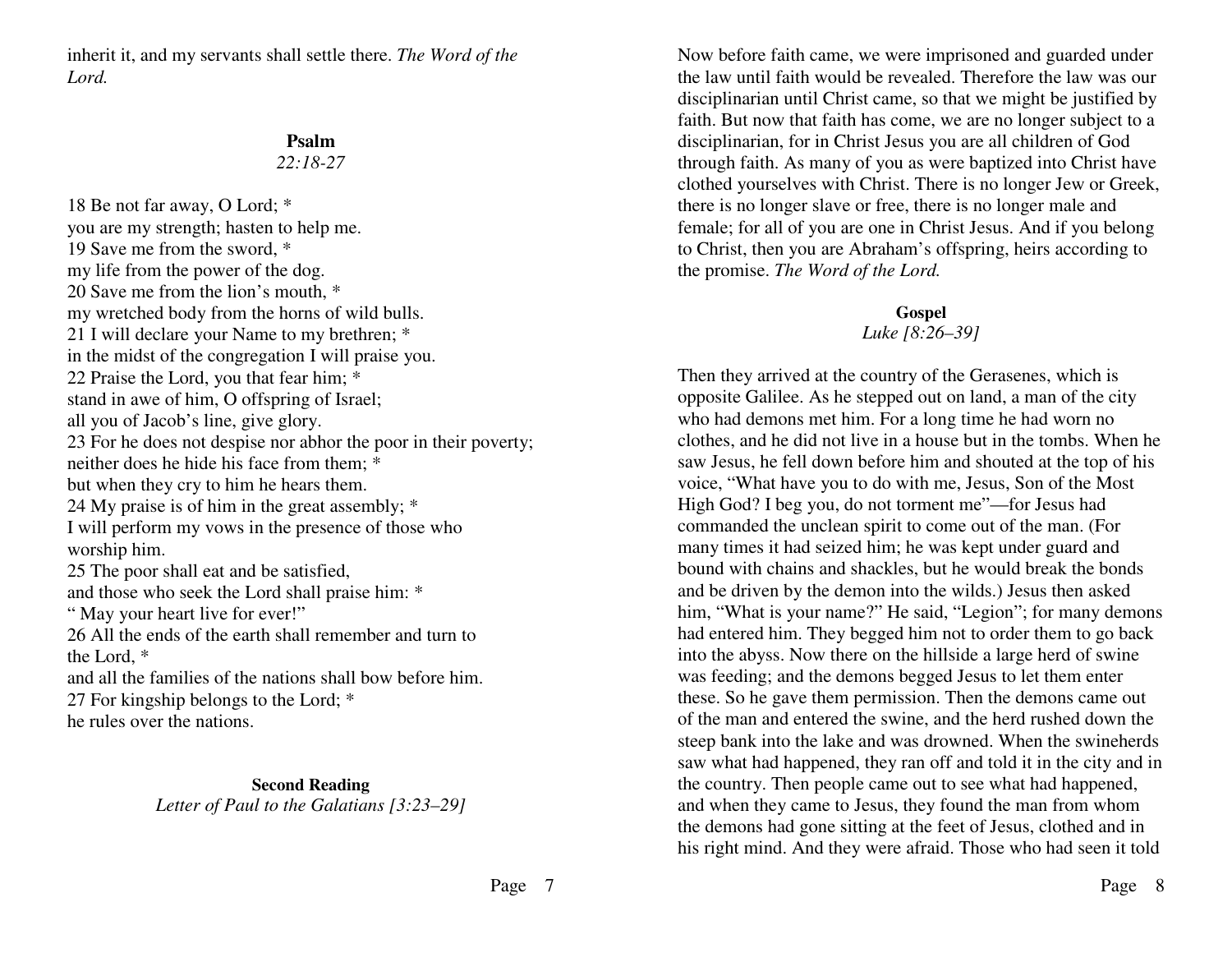inherit it, and my servants shall settle there. *The Word of the Lord.*

### **Psalm**

#### *22:18-27*

18 Be not far away, O Lord; \* you are my strength; hasten to help me. 19 Save me from the sword, \* my life from the power of the dog. 20 Save me from the lion's mouth, \* my wretched body from the horns of wild bulls. 21 I will declare your Name to my brethren; \* in the midst of the congregation I will praise you.22 Praise the Lord, you that fear him; \* stand in awe of him, O offspring of Israel; all you of Jacob's line, give glory. 23 For he does not despise nor abhor the poor in their poverty; neither does he hide his face from them; \* but when they cry to him he hears them. 24 My praise is of him in the great assembly; \* I will perform my vows in the presence of those whoworship him. 25 The poor shall eat and be satisfied, and those who seek the Lord shall praise him: \* " May your heart live for ever!" 26 All the ends of the earth shall remember and turn to the Lord, \* and all the families of the nations shall bow before him. 27 For kingship belongs to the Lord; \* he rules over the nations.

#### **Second Reading**

*Letter of Paul to the Galatians [3:23–29]* 

Now before faith came, we were imprisoned and guarded under the law until faith would be revealed. Therefore the law was our disciplinarian until Christ came, so that we might be justified by faith. But now that faith has come, we are no longer subject to a disciplinarian, for in Christ Jesus you are all children of God through faith. As many of you as were baptized into Christ have clothed yourselves with Christ. There is no longer Jew or Greek, there is no longer slave or free, there is no longer male and female; for all of you are one in Christ Jesus. And if you belong to Christ, then you are Abraham's offspring, heirs according to the promise. *The Word of the Lord.* 

# **Gospel**

## *Luke [8:26–39]*

Then they arrived at the country of the Gerasenes, which is opposite Galilee. As he stepped out on land, a man of the city who had demons met him. For a long time he had worn no clothes, and he did not live in a house but in the tombs. When he saw Jesus, he fell down before him and shouted at the top of his voice, "What have you to do with me, Jesus, Son of the Most High God? I beg you, do not torment me"—for Jesus had commanded the unclean spirit to come out of the man. (For many times it had seized him; he was kept under guard and bound with chains and shackles, but he would break the bonds and be driven by the demon into the wilds.) Jesus then asked him, "What is your name?" He said, "Legion"; for many demons had entered him. They begged him not to order them to go back into the abyss. Now there on the hillside a large herd of swine was feeding; and the demons begged Jesus to let them enter these. So he gave them permission. Then the demons came out of the man and entered the swine, and the herd rushed down the steep bank into the lake and was drowned. When the swineherds saw what had happened, they ran off and told it in the city and in the country. Then people came out to see what had happened, and when they came to Jesus, they found the man from whom the demons had gone sitting at the feet of Jesus, clothed and in his right mind. And they were afraid. Those who had seen it told